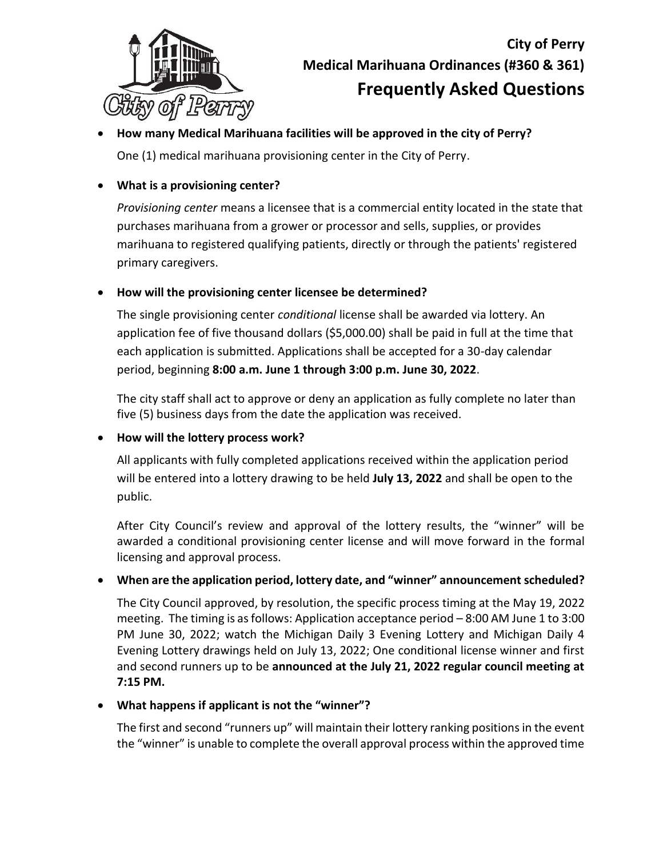

# **City of Perry Medical Marihuana Ordinances (#360 & 361) Frequently Asked Questions**

# • **How many Medical Marihuana facilities will be approved in the city of Perry?**

One (1) medical marihuana provisioning center in the City of Perry.

## • **What is a provisioning center?**

*Provisioning center* means a licensee that is a commercial entity located in the state that purchases marihuana from a grower or processor and sells, supplies, or provides marihuana to registered qualifying patients, directly or through the patients' registered primary caregivers.

#### • **How will the provisioning center licensee be determined?**

The single provisioning center *conditional* license shall be awarded via lottery. An application fee of five thousand dollars (\$5,000.00) shall be paid in full at the time that each application is submitted. Applications shall be accepted for a 30-day calendar period, beginning **8:00 a.m. June 1 through 3:00 p.m. June 30, 2022**.

The city staff shall act to approve or deny an application as fully complete no later than five (5) business days from the date the application was received.

#### • **How will the lottery process work?**

All applicants with fully completed applications received within the application period will be entered into a lottery drawing to be held **July 13, 2022** and shall be open to the public.

After City Council's review and approval of the lottery results, the "winner" will be awarded a conditional provisioning center license and will move forward in the formal licensing and approval process.

#### • **When are the application period, lottery date, and "winner" announcement scheduled?**

The City Council approved, by resolution, the specific process timing at the May 19, 2022 meeting. The timing is as follows: Application acceptance period – 8:00 AM June 1 to 3:00 PM June 30, 2022; watch the Michigan Daily 3 Evening Lottery and Michigan Daily 4 Evening Lottery drawings held on July 13, 2022; One conditional license winner and first and second runners up to be **announced at the July 21, 2022 regular council meeting at 7:15 PM.**

#### • **What happens if applicant is not the "winner"?**

The first and second "runners up" will maintain their lottery ranking positions in the event the "winner" is unable to complete the overall approval process within the approved time